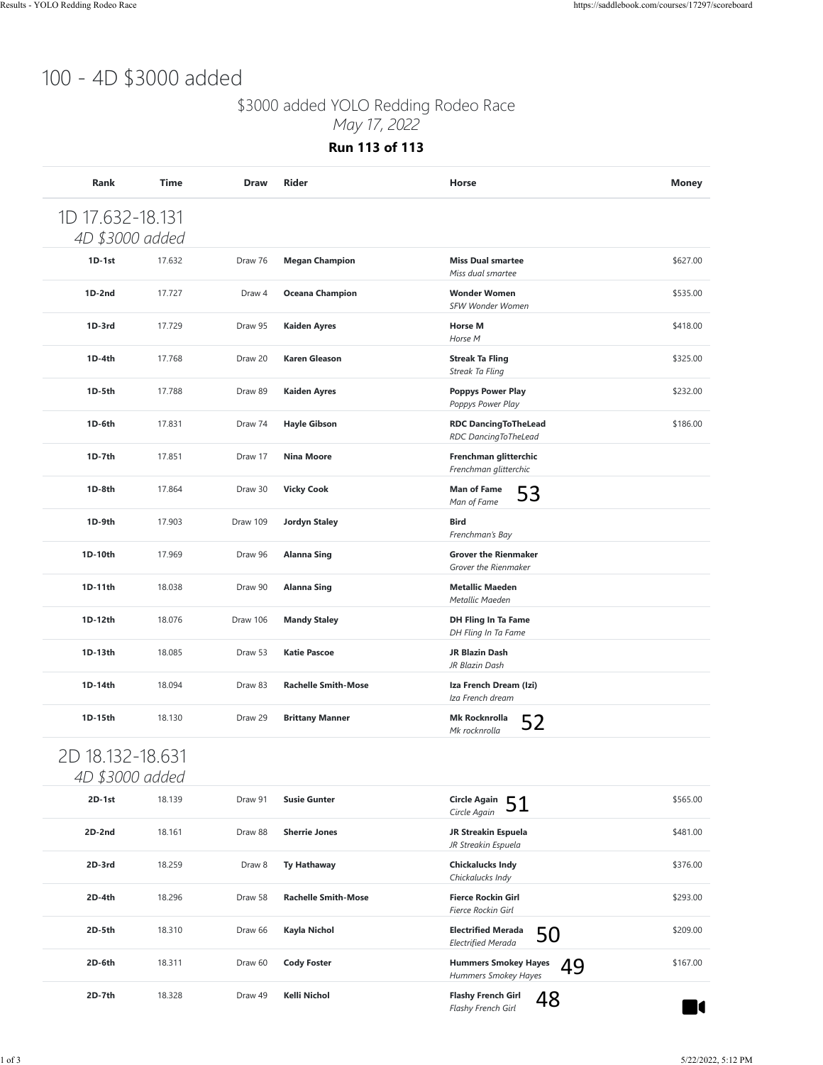## 100 - 4D \$3000 added

### \$3000 added YOLO Redding Rodeo Race

*May 17, 2022*

**Run 113 of 113**

| 1D 17.632-18.131<br>4D \$3000 added |        |          |                            |                                                              |          |
|-------------------------------------|--------|----------|----------------------------|--------------------------------------------------------------|----------|
| $1D-1st$                            | 17.632 | Draw 76  | <b>Megan Champion</b>      | <b>Miss Dual smartee</b>                                     | \$627.00 |
| $1D-2nd$                            | 17.727 | Draw 4   | <b>Oceana Champion</b>     | Miss dual smartee<br><b>Wonder Women</b>                     | \$535.00 |
| 1D-3rd                              | 17.729 | Draw 95  | <b>Kaiden Ayres</b>        | SFW Wonder Women<br><b>Horse M</b><br>Horse M                | \$418.00 |
| 1D-4th                              | 17.768 | Draw 20  | <b>Karen Gleason</b>       | <b>Streak Ta Fling</b><br>Streak Ta Fling                    | \$325.00 |
| 1D-5th                              | 17.788 | Draw 89  | <b>Kaiden Ayres</b>        | <b>Poppys Power Play</b><br>Poppys Power Play                | \$232.00 |
| 1D-6th                              | 17.831 | Draw 74  | <b>Hayle Gibson</b>        | <b>RDC DancingToTheLead</b><br>RDC DancingToTheLead          | \$186.00 |
| 1D-7th                              | 17.851 | Draw 17  | <b>Nina Moore</b>          | Frenchman glitterchic<br>Frenchman glitterchic               |          |
| 1D-8th                              | 17.864 | Draw 30  | <b>Vicky Cook</b>          | <b>Man of Fame</b><br>53<br>Man of Fame                      |          |
| 1D-9th                              | 17.903 | Draw 109 | <b>Jordyn Staley</b>       | <b>Bird</b><br>Frenchman's Bay                               |          |
| 1D-10th                             | 17.969 | Draw 96  | <b>Alanna Sing</b>         | <b>Grover the Rienmaker</b><br>Grover the Rienmaker          |          |
| 1D-11th                             | 18.038 | Draw 90  | <b>Alanna Sing</b>         | <b>Metallic Maeden</b><br>Metallic Maeden                    |          |
| 1D-12th                             | 18.076 | Draw 106 | <b>Mandy Staley</b>        | DH Fling In Ta Fame<br>DH Fling In Ta Fame                   |          |
| 1D-13th                             | 18.085 | Draw 53  | <b>Katie Pascoe</b>        | JR Blazin Dash<br>JR Blazin Dash                             |          |
| 1D-14th                             | 18.094 | Draw 83  | <b>Rachelle Smith-Mose</b> | Iza French Dream (Izi)<br>Iza French dream                   |          |
| 1D-15th                             | 18.130 | Draw 29  | <b>Brittany Manner</b>     | Mk Rocknrolla<br>52<br>Mk rocknrolla                         |          |
| 2D 18.132-18.631<br>4D \$3000 added |        |          |                            |                                                              |          |
| 2D-1st                              | 18.139 | Draw 91  | <b>Susie Gunter</b>        | <b>Circle Again</b><br>51<br>Circle Again                    | \$565.00 |
| 2D-2nd                              | 18.161 | Draw 88  | <b>Sherrie Jones</b>       | JR Streakin Espuela<br>JR Streakin Espuela                   | \$481.00 |
| 2D-3rd                              | 18.259 | Draw 8   | <b>Ty Hathaway</b>         | <b>Chickalucks Indy</b><br>Chickalucks Indy                  | \$376.00 |
| 2D-4th                              | 18.296 | Draw 58  | <b>Rachelle Smith-Mose</b> | <b>Fierce Rockin Girl</b><br>Fierce Rockin Girl              | \$293.00 |
| 2D-5th                              | 18.310 | Draw 66  | Kayla Nichol               | <b>Electrified Merada</b><br>50<br><b>Electrified Merada</b> | \$209.00 |
| 2D-6th                              | 18.311 | Draw 60  | <b>Cody Foster</b>         | <b>Hummers Smokey Hayes</b><br>49<br>Hummers Smokey Hayes    | \$167.00 |
| 2D-7th                              | 18.328 | Draw 49  | Kelli Nichol               | <b>Flashy French Girl</b><br>48<br>Flashy French Girl        | U        |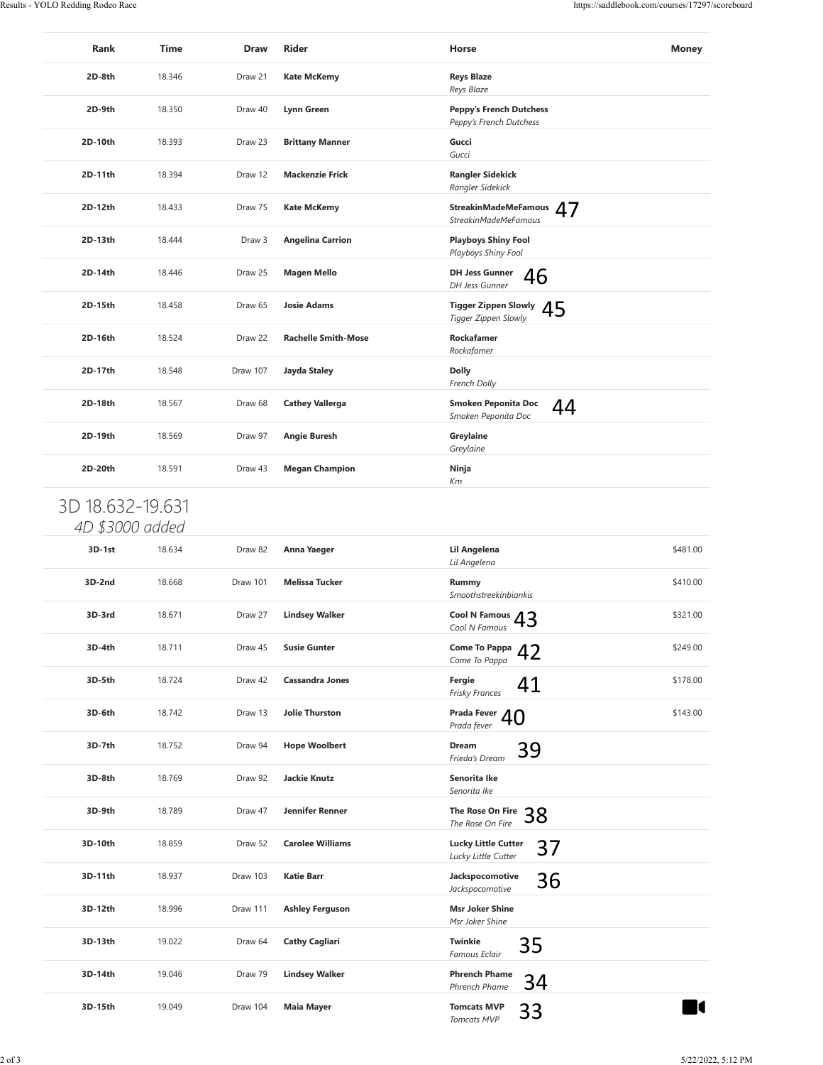| Rank             | Time   | <b>Draw</b> | <b>Rider</b>               | Horse                                                     | Money    |
|------------------|--------|-------------|----------------------------|-----------------------------------------------------------|----------|
| 2D-8th           | 18.346 | Draw 21     | <b>Kate McKemy</b>         | <b>Reys Blaze</b><br>Reys Blaze                           |          |
| 2D-9th           | 18.350 | Draw 40     | Lynn Green                 | <b>Peppy's French Dutchess</b><br>Peppy's French Dutchess |          |
| 2D-10th          | 18.393 | Draw 23     | <b>Brittany Manner</b>     | Gucci<br>Gucci                                            |          |
| 2D-11th          | 18.394 | Draw 12     | <b>Mackenzie Frick</b>     | <b>Rangler Sidekick</b><br>Rangler Sidekick               |          |
| 2D-12th          | 18.433 | Draw 75     | <b>Kate McKemy</b>         | StreakinMadeMeFamous 47<br><b>StreakinMadeMeFamous</b>    |          |
| 2D-13th          | 18.444 | Draw 3      | <b>Angelina Carrion</b>    | <b>Playboys Shiny Fool</b><br>Playboys Shiny Fool         |          |
| 2D-14th          | 18.446 | Draw 25     | <b>Magen Mello</b>         | <b>DH Jess Gunner</b><br>46<br>DH Jess Gunner             |          |
| 2D-15th          | 18.458 | Draw 65     | <b>Josie Adams</b>         | <b>Tigger Zippen Slowly</b><br>45<br>Tigger Zippen Slowly |          |
| 2D-16th          | 18.524 | Draw 22     | <b>Rachelle Smith-Mose</b> | Rockafamer<br>Rockafamer                                  |          |
| 2D-17th          | 18.548 | Draw 107    | Jayda Staley               | <b>Dolly</b><br>French Dolly                              |          |
| 2D-18th          | 18.567 | Draw 68     | <b>Cathey Vallerga</b>     | Smoken Peponita Doc<br>44<br>Smoken Peponita Doc          |          |
| 2D-19th          | 18.569 | Draw 97     | <b>Angie Buresh</b>        | Greylaine<br>Greylaine                                    |          |
| 2D-20th          | 18.591 | Draw 43     | <b>Megan Champion</b>      | Ninja<br>Кm                                               |          |
| 3D 18.632-19.631 |        |             |                            |                                                           |          |
| 4D \$3000 added  |        |             |                            |                                                           |          |
| 3D-1st           | 18.634 | Draw 82     | Anna Yaeger                | Lil Angelena<br>Lil Angelena                              | \$481.00 |
| 3D-2nd           | 18.668 | Draw 101    | <b>Melissa Tucker</b>      | Rummy<br>Smoothstreekinbiankis                            | \$410.00 |
| 3D-3rd           | 18.671 | Draw 27     | <b>Lindsey Walker</b>      | <b>Cool N Famous</b><br>43<br>Cool N Famous               | \$321.00 |
| 3D-4th           | 18.711 | Draw 45     | <b>Susie Gunter</b>        | Come To Pappa $42$<br>Come To Pappa                       | \$249.00 |
| 3D-5th           | 18.724 | Draw 42     | <b>Cassandra Jones</b>     | Fergie<br>41<br><b>Frisky Frances</b>                     | \$178.00 |
| 3D-6th           | 18.742 | Draw 13     | <b>Jolie Thurston</b>      | Prada Fever $40$<br>Prada fever                           | \$143.00 |
| 3D-7th           | 18.752 | Draw 94     | <b>Hope Woolbert</b>       | Dream<br>39<br>Frieda's Dream                             |          |
| 3D-8th           | 18.769 | Draw 92     | <b>Jackie Knutz</b>        | Senorita Ike<br>Senorita Ike                              |          |
| 3D-9th           | 18.789 | Draw 47     | Jennifer Renner            | The Rose On Fire<br>38<br>The Rose On Fire                |          |
| 3D-10th          | 18.859 | Draw 52     | <b>Carolee Williams</b>    | <b>Lucky Little Cutter</b><br>37<br>Lucky Little Cutter   |          |
| 3D-11th          | 18.937 | Draw 103    | <b>Katie Barr</b>          | Jackspocomotive<br>36<br>Jackspocomotive                  |          |
|                  | 18.996 | Draw 111    | <b>Ashley Ferguson</b>     | <b>Msr Joker Shine</b><br>Msr Joker Shine                 |          |
| 3D-12th          |        |             |                            |                                                           |          |
| 3D-13th          | 19.022 | Draw 64     | <b>Cathy Cagliari</b>      | Twinkie<br>35<br>Famous Eclair                            |          |
| 3D-14th          | 19.046 | Draw 79     | <b>Lindsey Walker</b>      | <b>Phrench Phame</b><br>34<br>Phrench Phame               |          |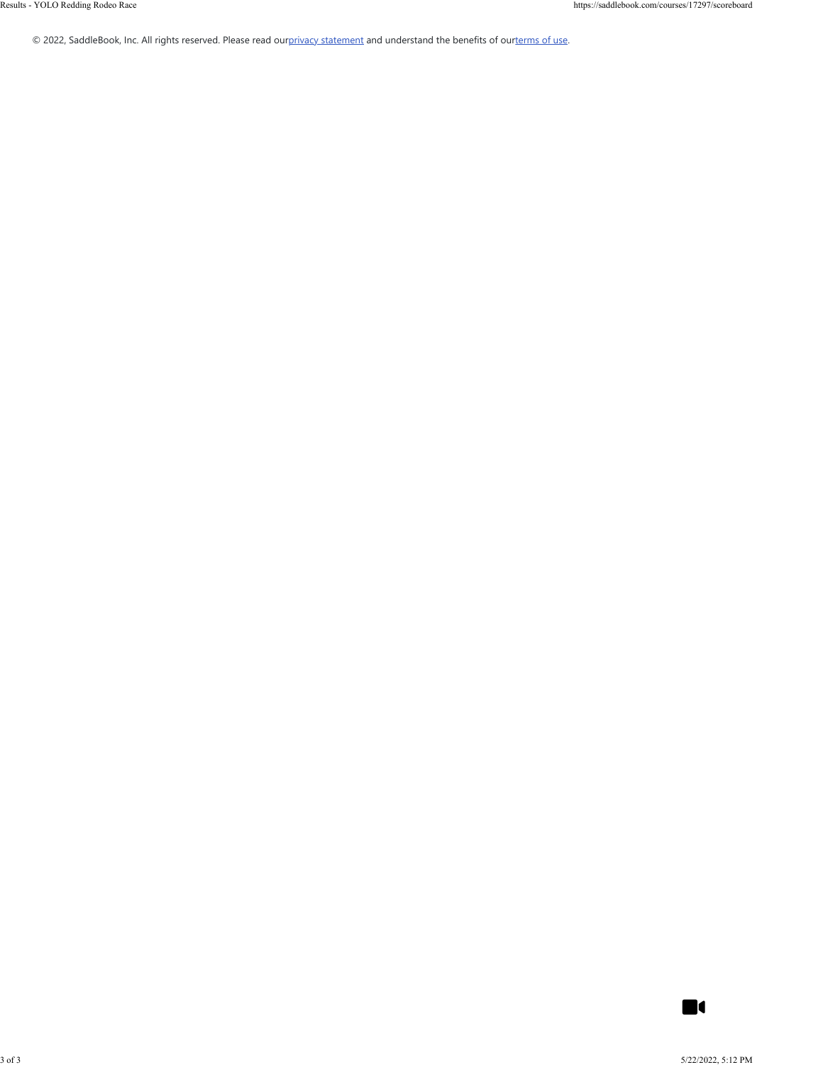© 2022, SaddleBook, Inc. All rights reserved. Please read ou[rprivacy statement](https://saddlebook.com/privacy_policy) and understand the benefits of ou[rterms of use.](https://saddlebook.com/user_agreement)

 $\blacksquare$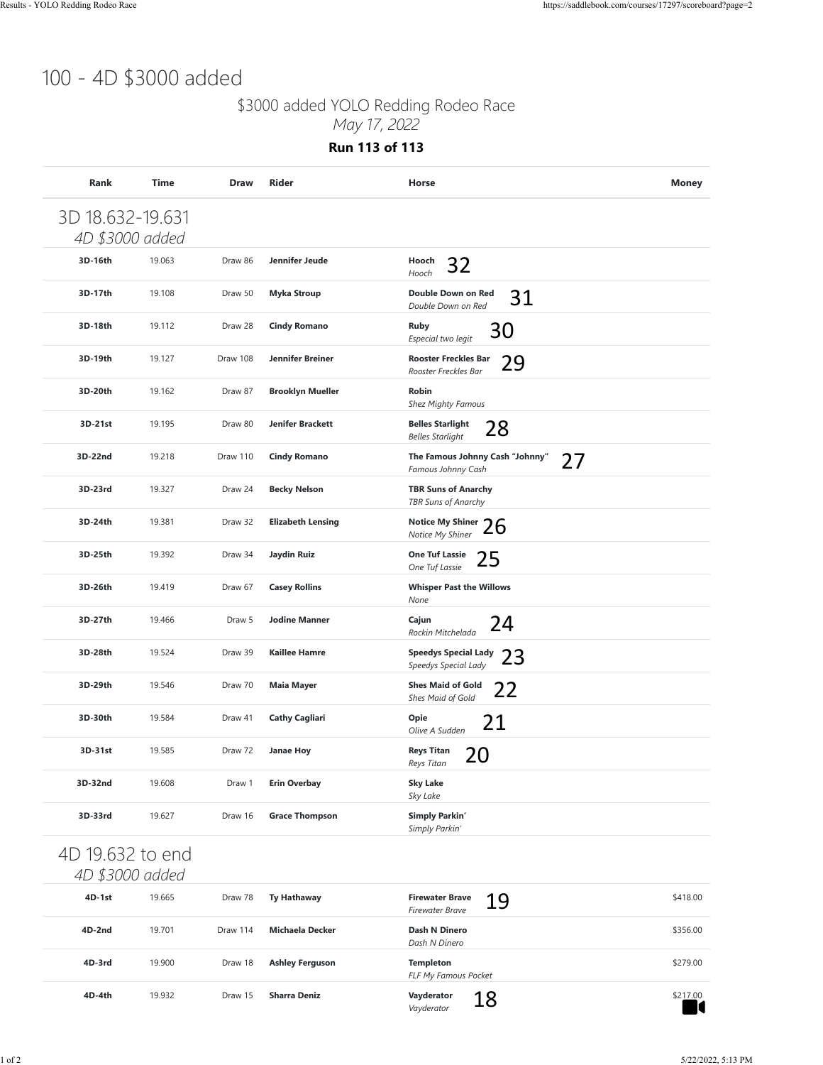## 100 - 4D \$3000 added

### \$3000 added YOLO Redding Rodeo Race

*May 17, 2022*

**Run 113 of 113**

| 3D 18.632-19.631<br>4D \$3000 added |        |          |                          |                                                             |               |
|-------------------------------------|--------|----------|--------------------------|-------------------------------------------------------------|---------------|
| 3D-16th                             | 19.063 | Draw 86  | Jennifer Jeude           | Hooch<br>32<br>Hooch                                        |               |
| 3D-17th                             | 19.108 | Draw 50  | <b>Myka Stroup</b>       | Double Down on Red<br>31<br>Double Down on Red              |               |
| 3D-18th                             | 19.112 | Draw 28  | <b>Cindy Romano</b>      | <b>Ruby</b><br>30<br>Especial two legit                     |               |
| 3D-19th                             | 19.127 | Draw 108 | <b>Jennifer Breiner</b>  | <b>Rooster Freckles Bar</b><br>29<br>Rooster Freckles Bar   |               |
| 3D-20th                             | 19.162 | Draw 87  | <b>Brooklyn Mueller</b>  | Robin<br><b>Shez Mighty Famous</b>                          |               |
| 3D-21st                             | 19.195 | Draw 80  | <b>Jenifer Brackett</b>  | <b>Belles Starlight</b><br>28<br><b>Belles Starlight</b>    |               |
| 3D-22nd                             | 19.218 | Draw 110 | <b>Cindy Romano</b>      | The Famous Johnny Cash "Johnny"<br>27<br>Famous Johnny Cash |               |
| 3D-23rd                             | 19.327 | Draw 24  | <b>Becky Nelson</b>      | <b>TBR Suns of Anarchy</b><br>TBR Suns of Anarchy           |               |
| 3D-24th                             | 19.381 | Draw 32  | <b>Elizabeth Lensing</b> | Notice My Shiner 26<br>Notice My Shiner                     |               |
| 3D-25th                             | 19.392 | Draw 34  | Jaydin Ruiz              | <b>One Tuf Lassie</b><br>25<br>One Tuf Lassie               |               |
| 3D-26th                             | 19.419 | Draw 67  | <b>Casey Rollins</b>     | <b>Whisper Past the Willows</b><br>None                     |               |
| 3D-27th                             | 19.466 | Draw 5   | <b>Jodine Manner</b>     | Cajun<br>24<br>Rockin Mitchelada                            |               |
| 3D-28th                             | 19.524 | Draw 39  | <b>Kaillee Hamre</b>     | <b>Speedys Special Lady</b><br>23<br>Speedys Special Lady   |               |
| 3D-29th                             | 19.546 | Draw 70  | <b>Maia Mayer</b>        | <b>Shes Maid of Gold</b><br>22<br>Shes Maid of Gold         |               |
| 3D-30th                             | 19.584 | Draw 41  | <b>Cathy Cagliari</b>    | Opie<br>21<br>Olive A Sudden                                |               |
| 3D-31st                             | 19.585 | Draw 72  | <b>Janae Hoy</b>         | <b>Reys Titan</b><br>20<br>Reys Titan                       |               |
| 3D-32nd                             | 19.608 | Draw 1   | <b>Erin Overbay</b>      | <b>Sky Lake</b><br>Sky Lake                                 |               |
| 3D-33rd                             | 19.627 | Draw 16  | <b>Grace Thompson</b>    | <b>Simply Parkin'</b><br>Simply Parkin'                     |               |
| 4D 19.632 to end<br>4D \$3000 added |        |          |                          |                                                             |               |
| 4D-1st                              | 19.665 | Draw 78  | <b>Ty Hathaway</b>       | <b>Firewater Brave</b><br>19<br><b>Firewater Brave</b>      | \$418.00      |
| 4D-2nd                              | 19.701 | Draw 114 | <b>Michaela Decker</b>   | Dash N Dinero<br>Dash N Dinero                              | \$356.00      |
| 4D-3rd                              | 19.900 | Draw 18  | <b>Ashley Ferguson</b>   | <b>Templeton</b><br>FLF My Famous Pocket                    | \$279.00      |
| 4D-4th                              | 19.932 | Draw 15  | <b>Sharra Deniz</b>      | Vayderator<br>18<br>Vayderator                              | \$217.00<br>L |

### 4D 19.632 to end *4D \$3000 added*

| 19.665 | Draw 78  | <b>Ty Hathaway</b>     | <b>Firewater Brave</b><br>19<br><b>Firewater Brave</b> | \$418.00 |
|--------|----------|------------------------|--------------------------------------------------------|----------|
| 19.701 | Draw 114 | Michaela Decker        | Dash N Dinero<br>Dash N Dinero                         | \$356.00 |
| 19.900 | Draw 18  | <b>Ashley Ferguson</b> | <b>Templeton</b><br>FLF My Famous Pocket               | \$279.00 |
| 19.932 | Draw 15  | <b>Sharra Deniz</b>    | Vayderator<br>18<br>Vayderator                         | \$217.00 |
|        |          |                        |                                                        |          |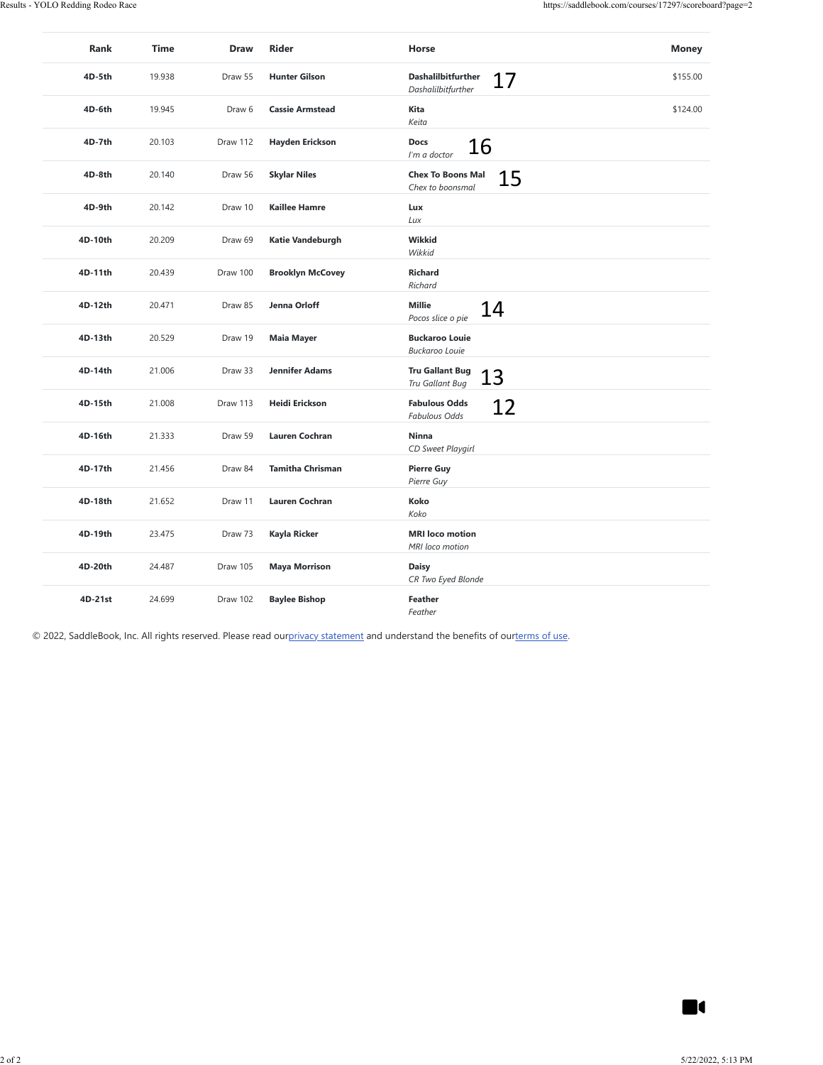| 4D-5th  |        | <b>Draw</b> | <b>Rider</b>            | Horse                                                                                                                                                | <b>Money</b> |
|---------|--------|-------------|-------------------------|------------------------------------------------------------------------------------------------------------------------------------------------------|--------------|
|         | 19.938 | Draw 55     | <b>Hunter Gilson</b>    | Dashalilbitfurther<br>17<br>Dashalilbitfurther                                                                                                       | \$155.00     |
| 4D-6th  | 19.945 | Draw 6      | <b>Cassie Armstead</b>  | Kita<br>Keita                                                                                                                                        | \$124.00     |
| 4D-7th  | 20.103 | Draw 112    | <b>Hayden Erickson</b>  | Docs<br>16<br>I'm a doctor                                                                                                                           |              |
| 4D-8th  | 20.140 | Draw 56     | <b>Skylar Niles</b>     | <b>Chex To Boons Mal</b><br>15<br>Chex to boonsmal                                                                                                   |              |
| 4D-9th  | 20.142 | Draw 10     | <b>Kaillee Hamre</b>    | Lux<br>Lux                                                                                                                                           |              |
| 4D-10th | 20.209 | Draw 69     | Katie Vandeburgh        | Wikkid<br>Wikkid                                                                                                                                     |              |
| 4D-11th | 20.439 | Draw 100    | <b>Brooklyn McCovey</b> | Richard<br>Richard                                                                                                                                   |              |
| 4D-12th | 20.471 | Draw 85     | Jenna Orloff            | Millie<br>14<br>Pocos slice o pie                                                                                                                    |              |
| 4D-13th | 20.529 | Draw 19     | <b>Maia Mayer</b>       | <b>Buckaroo Louie</b><br>Buckaroo Louie                                                                                                              |              |
| 4D-14th | 21.006 | Draw 33     | <b>Jennifer Adams</b>   | <b>Tru Gallant Bug</b><br>13<br>Tru Gallant Bug                                                                                                      |              |
| 4D-15th | 21.008 | Draw 113    | Heidi Erickson          | <b>Fabulous Odds</b><br>12<br>Fabulous Odds                                                                                                          |              |
| 4D-16th | 21.333 | Draw 59     | <b>Lauren Cochran</b>   | Ninna<br>CD Sweet Playgirl                                                                                                                           |              |
| 4D-17th | 21.456 | Draw 84     | <b>Tamitha Chrisman</b> | <b>Pierre Guy</b><br>Pierre Guy                                                                                                                      |              |
| 4D-18th | 21.652 | Draw 11     | Lauren Cochran          | Koko<br>Koko                                                                                                                                         |              |
|         |        |             |                         |                                                                                                                                                      |              |
| 4D-19th | 23.475 | Draw 73     | Kayla Ricker            | <b>MRI</b> loco motion<br>MRI loco motion                                                                                                            |              |
| 4D-20th | 24.487 | Draw 105    | <b>Maya Morrison</b>    | <b>Daisy</b><br>CR Two Eyed Blonde                                                                                                                   |              |
| 4D-21st | 24.699 | Draw 102    | <b>Baylee Bishop</b>    | Feather<br>Feather<br>© 2022, SaddleBook, Inc. All rights reserved. Please read ourprivacy statement and understand the benefits of ourterms of use. |              |
|         |        |             |                         |                                                                                                                                                      |              |
|         |        |             |                         |                                                                                                                                                      |              |
|         |        |             |                         |                                                                                                                                                      |              |
|         |        |             |                         |                                                                                                                                                      |              |
|         |        |             |                         |                                                                                                                                                      |              |